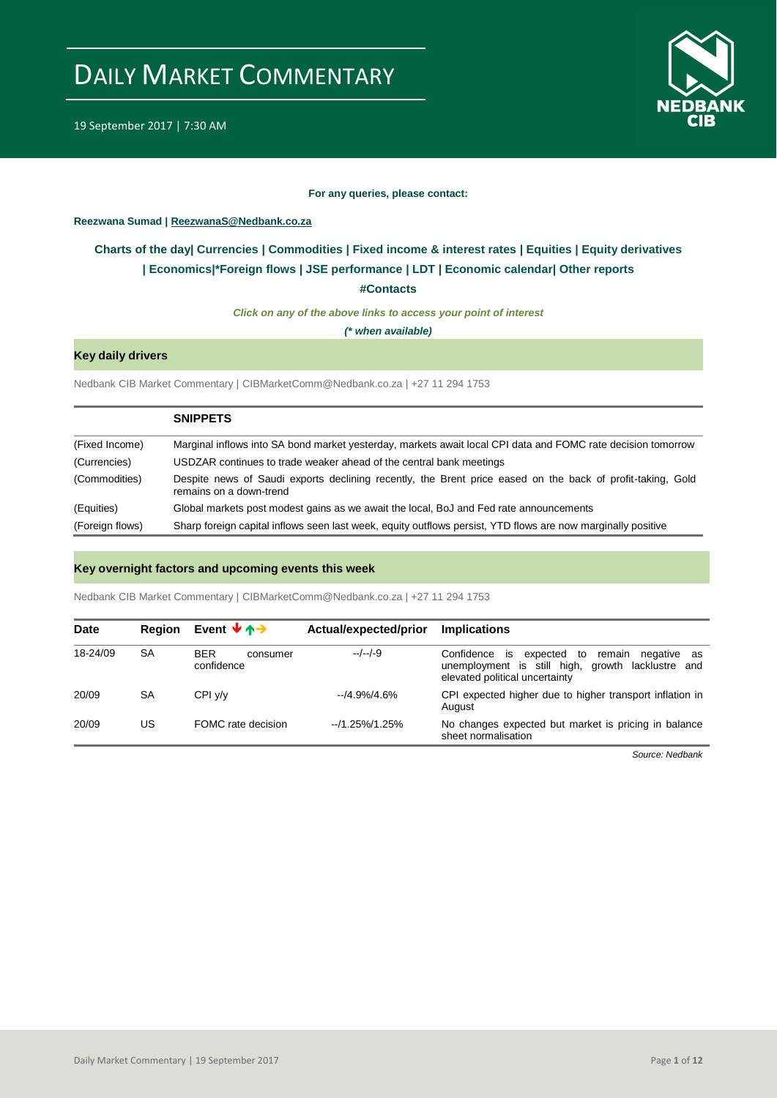

19 September 2017 | 7:30 AM

### **For any queries, please contact:**

### <span id="page-0-0"></span>**Reezwana Sumad | ReezwanaS@Nedbank.co.za**

### **Charts of the day| [Currencies](#page-2-0) [| Commodities](#page-3-0) | [Fixed income & interest rates](#page-1-0) | [Equities](#page-4-0) | Equity derivatives | Economics|[\\*Foreign flows](#page-7-0) [| JSE performance](#page-4-1) | [LDT](#page-5-0) | [Economic calendar|](#page-9-0) Other reports**

**[#Contacts](#page-10-0)**

*Click on any of the above links to access your point of interest*

*(\* when available)*

### **Key daily drivers**

Nedbank CIB Market Commentary | CIBMarketComm@Nedbank.co.za | +27 11 294 1753

|                 | <b>SNIPPETS</b>                                                                                                                       |
|-----------------|---------------------------------------------------------------------------------------------------------------------------------------|
| (Fixed Income)  | Marginal inflows into SA bond market yesterday, markets await local CPI data and FOMC rate decision tomorrow                          |
| (Currencies)    | USDZAR continues to trade weaker ahead of the central bank meetings                                                                   |
| (Commodities)   | Despite news of Saudi exports declining recently, the Brent price eased on the back of profit-taking, Gold<br>remains on a down-trend |
| (Equities)      | Global markets post modest gains as we await the local, BoJ and Fed rate announcements                                                |
| (Foreign flows) | Sharp foreign capital inflows seen last week, equity outflows persist, YTD flows are now marginally positive                          |

### **Key overnight factors and upcoming events this week**

Nedbank CIB Market Commentary | CIBMarketComm@Nedbank.co.za | +27 11 294 1753

| <b>Date</b> | <b>Region</b> | Event $\forall \land \rightarrow$    | Actual/expected/prior | <b>Implications</b>                                                                                                                          |
|-------------|---------------|--------------------------------------|-----------------------|----------------------------------------------------------------------------------------------------------------------------------------------|
| 18-24/09    | SA            | <b>BER</b><br>consumer<br>confidence | $-/-/-9$              | is expected to<br>Confidence<br>remain<br>negative as<br>unemployment is still high, growth lacklustre and<br>elevated political uncertainty |
| 20/09       | SA            | CPI y/y                              | $-14.9\%/4.6\%$       | CPI expected higher due to higher transport inflation in<br>August                                                                           |
| 20/09       | US            | FOMC rate decision                   | $-1.25\%/1.25\%$      | No changes expected but market is pricing in balance<br>sheet normalisation                                                                  |

*Source: Nedbank*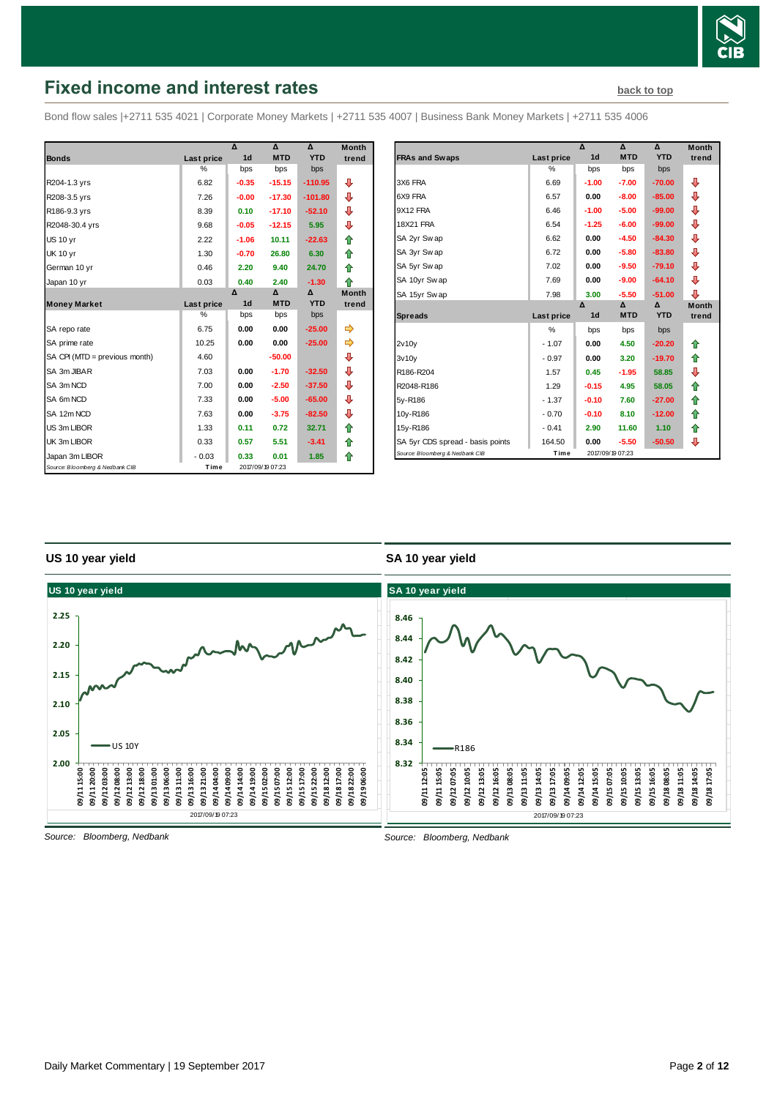

# <span id="page-1-0"></span>**Fixed income and interest rates [back to top](#page-0-0) back to top**

Bond flow sales |+2711 535 4021 | Corporate Money Markets | +2711 535 4007 | Business Bank Money Markets | +2711 535 4006

|                                 |               | Δ              | $\mathbf$        | Δ          | <b>Month</b> |
|---------------------------------|---------------|----------------|------------------|------------|--------------|
| <b>Bonds</b>                    | Last price    | 1 <sub>d</sub> | <b>MTD</b>       | <b>YTD</b> | trend        |
|                                 | %             | bps            | bps              | bps        |              |
| R204-1.3 yrs                    | 6.82          | $-0.35$        | $-15.15$         | $-110.95$  | ⊕            |
| R208-3.5 yrs                    | 7.26          | $-0.00$        | $-17.30$         | $-101.80$  | ⊕            |
| R186-9.3 yrs                    | 8.39          | 0.10           | $-17.10$         | $-52.10$   | ⊕            |
| R2048-30.4 yrs                  | 9.68          | $-0.05$        | $-12.15$         | 5.95       | ⊕            |
| <b>US 10 yr</b>                 | 2.22          | $-1.06$        | 10.11            | $-22.63$   | ⇑            |
| <b>UK 10 yr</b>                 | 1.30          | $-0.70$        | 26.80            | 6.30       | ⇑            |
| German 10 yr                    | 0.46          | 2.20           | 9.40             | 24.70      | ⇑            |
| Japan 10 yr                     | 0.03          | 0.40           | 2.40             | $-1.30$    | ⇑            |
|                                 |               | Δ              | Δ                | Δ          | <b>Month</b> |
| <b>Money Market</b>             | Last price    | 1 <sub>d</sub> | <b>MTD</b>       | <b>YTD</b> | trend        |
|                                 | $\frac{0}{0}$ | bps            | bps              | bps        |              |
| SA repo rate                    | 6.75          | 0.00           | 0.00             | $-25.00$   | ⇛            |
| SA prime rate                   | 10.25         | 0.00           | 0.00             | $-25.00$   | ⇛            |
| SA CPI (MTD = previous month)   | 4.60          |                | $-50.00$         |            | ⊕            |
| SA 3m JIBAR                     | 7.03          | 0.00           | $-1.70$          | $-32.50$   | ⊕            |
| SA 3m NCD                       | 7.00          | 0.00           | $-2.50$          | $-37.50$   | ⊕            |
| SA 6m NCD                       | 7.33          | 0.00           | $-5.00$          | $-65.00$   | ⊕            |
| SA 12m NCD                      | 7.63          | 0.00           | $-3.75$          | $-82.50$   | ⇩            |
| US 3m LIBOR                     | 1.33          | 0.11           | 0.72             | 32.71      | ⇮            |
| UK 3m LIBOR                     | 0.33          | 0.57           | 5.51             | $-3.41$    | ⇑            |
| Japan 3m LIBOR                  | $-0.03$       | 0.33           | 0.01             | 1.85       | ⇑            |
| Source: Bloomberg & Nedbank CIB | Time          |                | 2017/09/19 07:23 |            |              |

|                                  |                   | $\overline{\mathbf{v}}$ | Δ                | Δ          | <b>Month</b> |
|----------------------------------|-------------------|-------------------------|------------------|------------|--------------|
| <b>FRAs and Swaps</b>            | <b>Last price</b> | 1 <sub>d</sub>          | <b>MTD</b>       | <b>YTD</b> | trend        |
|                                  | %                 | bps                     | bps              | bps        |              |
| 3X6 FRA                          | 6.69              | $-1.00$                 | $-7.00$          | $-70.00$   | ⊕            |
| 6X9 FRA                          | 6.57              | 0.00                    | $-8.00$          | $-85.00$   | ⊕            |
| 9X12 FRA                         | 6.46              | $-1.00$                 | $-5.00$          | $-99.00$   | ⊕            |
| <b>18X21 FRA</b>                 | 6.54              | $-1.25$                 | $-6.00$          | $-99.00$   | ⊕            |
| SA 2yr Swap                      | 6.62              | 0.00                    | $-4.50$          | $-84.30$   | ⊕            |
| SA 3yr Swap                      | 6.72              | 0.00                    | $-5.80$          | $-83.80$   | ⊕            |
| SA 5yr Swap                      | 7.02              | 0.00                    | $-9.50$          | $-79.10$   | ⊕            |
| SA 10yr Swap                     | 7.69              | 0.00                    | $-9.00$          | $-64.10$   | ⊕            |
| SA 15yr Swap                     | 7.98              | 3.00                    | $-5.50$          | $-51.00$   | ⊕            |
|                                  |                   | Δ                       | $\Delta$         | Δ          | <b>Month</b> |
| <b>Spreads</b>                   | Last price        | 1 <sub>d</sub>          | <b>MTD</b>       | <b>YTD</b> | trend        |
|                                  | $\frac{0}{0}$     | bps                     | bps              | bps        |              |
| 2v10v                            | $-1.07$           | 0.00                    | 4.50             | $-20.20$   | ⇑            |
| 3v10v                            | $-0.97$           | 0.00                    | 3.20             | $-19.70$   | ⇑            |
| R186-R204                        | 1.57              | 0.45                    | $-1.95$          | 58.85      | ⊕            |
| R2048-R186                       | 1.29              | $-0.15$                 | 4.95             | 58.05      | ⇑            |
| 5y-R186                          | $-1.37$           | $-0.10$                 | 7.60             | $-27.00$   | ⇑            |
| 10y-R186                         | $-0.70$           | $-0.10$                 | 8.10             | $-12.00$   | ⇑            |
| 15y-R186                         | $-0.41$           | 2.90                    | 11.60            | 1.10       | ⇑            |
| SA 5yr CDS spread - basis points | 164.50            | 0.00                    | $-5.50$          | $-50.50$   | ⊕            |
| Source: Bloomberg & Nedbank CIB  | Time              |                         | 2017/09/19 07:23 |            |              |

### **US 10 year yield**

### **SA 10 year yield**

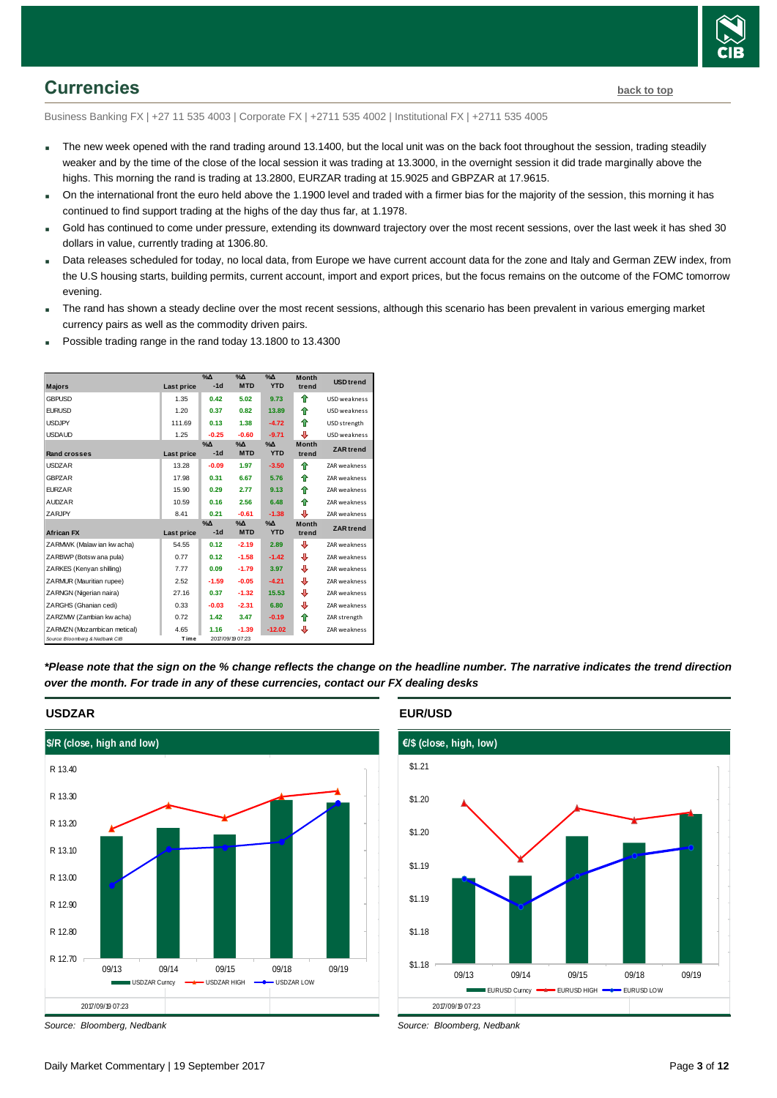

## <span id="page-2-0"></span>**Currencies [back to top](#page-0-0)**

Business Banking FX | +27 11 535 4003 | Corporate FX | +2711 535 4002 | Institutional FX | +2711 535 4005

- The new week opened with the rand trading around 13.1400, but the local unit was on the back foot throughout the session, trading steadily weaker and by the time of the close of the local session it was trading at 13.3000, in the overnight session it did trade marginally above the highs. This morning the rand is trading at 13.2800, EURZAR trading at 15.9025 and GBPZAR at 17.9615.
- On the international front the euro held above the 1.1900 level and traded with a firmer bias for the majority of the session, this morning it has continued to find support trading at the highs of the day thus far, at 1.1978.
- Gold has continued to come under pressure, extending its downward trajectory over the most recent sessions, over the last week it has shed 30 dollars in value, currently trading at 1306.80.
- Data releases scheduled for today, no local data, from Europe we have current account data for the zone and Italy and German ZEW index, from the U.S housing starts, building permits, current account, import and export prices, but the focus remains on the outcome of the FOMC tomorrow evening.
- The rand has shown a steady decline over the most recent sessions, although this scenario has been prevalent in various emerging market currency pairs as well as the commodity driven pairs.
- Possible trading range in the rand today 13.1800 to 13.4300

| <b>Majors</b>                   | <b>Last price</b> | $\%$ $\Delta$<br>$-1d$ | $\%$ $\Delta$<br><b>MTD</b> | $\%$ $\Delta$<br><b>YTD</b> | <b>Month</b><br>trend | <b>USD</b> trend    |
|---------------------------------|-------------------|------------------------|-----------------------------|-----------------------------|-----------------------|---------------------|
| <b>GBPUSD</b>                   | 1.35              | 0.42                   | 5.02                        | 9.73                        | ⇑                     | <b>USD</b> weakness |
| <b>FURUSD</b>                   | 1.20              | 0.37                   | 0.82                        | 13.89                       | ♠                     | <b>USD</b> weakness |
| <b>USDJPY</b>                   | 111.69            | 0.13                   | 1.38                        | $-4.72$                     | ⇑                     | USD strength        |
| <b>USDAUD</b>                   | 1.25              | $-0.25$                | $-0.60$                     | $-9.71$                     | ⊕                     | <b>USD</b> weakness |
| <b>Rand crosses</b>             | Last price        | $\%$ $\Delta$<br>$-1d$ | $\%$ $\Delta$<br><b>MTD</b> | $\Delta$<br><b>YTD</b>      | <b>Month</b><br>trend | <b>ZAR</b> trend    |
| <b>USDZAR</b>                   | 13.28             | $-0.09$                | 1.97                        | $-3.50$                     | ♠                     | ZAR weakness        |
| <b>GBPZAR</b>                   | 17.98             | 0.31                   | 6.67                        | 5.76                        | ♠                     | <b>ZAR</b> weakness |
| <b>EURZAR</b>                   | 15.90             | 0.29                   | 2.77                        | 9.13                        | ♠                     | <b>ZAR</b> weakness |
| <b>AUDZAR</b>                   | 10.59             | 0.16                   | 2.56                        | 6.48                        | ⇑                     | <b>ZAR</b> weakness |
| ZARJPY                          | 8.41              | 0.21                   | $-0.61$                     | $-1.38$                     | ⊕                     | <b>ZAR</b> weakness |
| <b>African FX</b>               | Last price        | $\%$ $\Delta$<br>$-1d$ | $\Delta_0$<br><b>MTD</b>    | $\%$ $\Delta$<br><b>YTD</b> | <b>Month</b><br>trend | <b>ZAR</b> trend    |
| ZARMWK (Malaw ian kw acha)      | 54.55             | 0.12                   | $-2.19$                     | 2.89                        | ⊕                     | <b>ZAR</b> weakness |
| ZARBWP (Botsw ana pula)         | 0.77              | 0.12                   | $-1.58$                     | $-1.42$                     | ⊕                     | <b>ZAR</b> weakness |
| ZARKES (Kenyan shilling)        | 7.77              | 0.09                   | $-1.79$                     | 3.97                        | ⊕                     | <b>ZAR</b> weakness |
| ZARMUR (Mauritian rupee)        | 2.52              | $-1.59$                | $-0.05$                     | $-4.21$                     | ⊕                     | ZAR weakness        |
| ZARNGN (Nigerian naira)         | 27.16             | 0.37                   | $-1.32$                     | 15.53                       | ⊕                     | <b>ZAR</b> weakness |
| ZARGHS (Ghanian cedi)           | 0.33              | $-0.03$                | $-2.31$                     | 6.80                        | ⊕                     | <b>ZAR</b> weakness |
| ZARZMW (Zambian kw acha)        | 0.72              | 1.42                   | 3.47                        | $-0.19$                     | ⇑                     | ZAR strength        |
| ZARMZN (Mozambican metical)     | 4.65              | 1.16                   | $-1.39$                     | $-12.02$                    | ⊕                     | ZAR weakness        |
| Source: Bloomberg & Nedbank CIB | Time              |                        | 2017/09/19 07:23            |                             |                       |                     |

*\*Please note that the sign on the % change reflects the change on the headline number. The narrative indicates the trend direction over the month. For trade in any of these currencies, contact our FX dealing desks*



*Source: Bloomberg, Nedbank*

### **EUR/USD**



*Source: Bloomberg, Nedbank*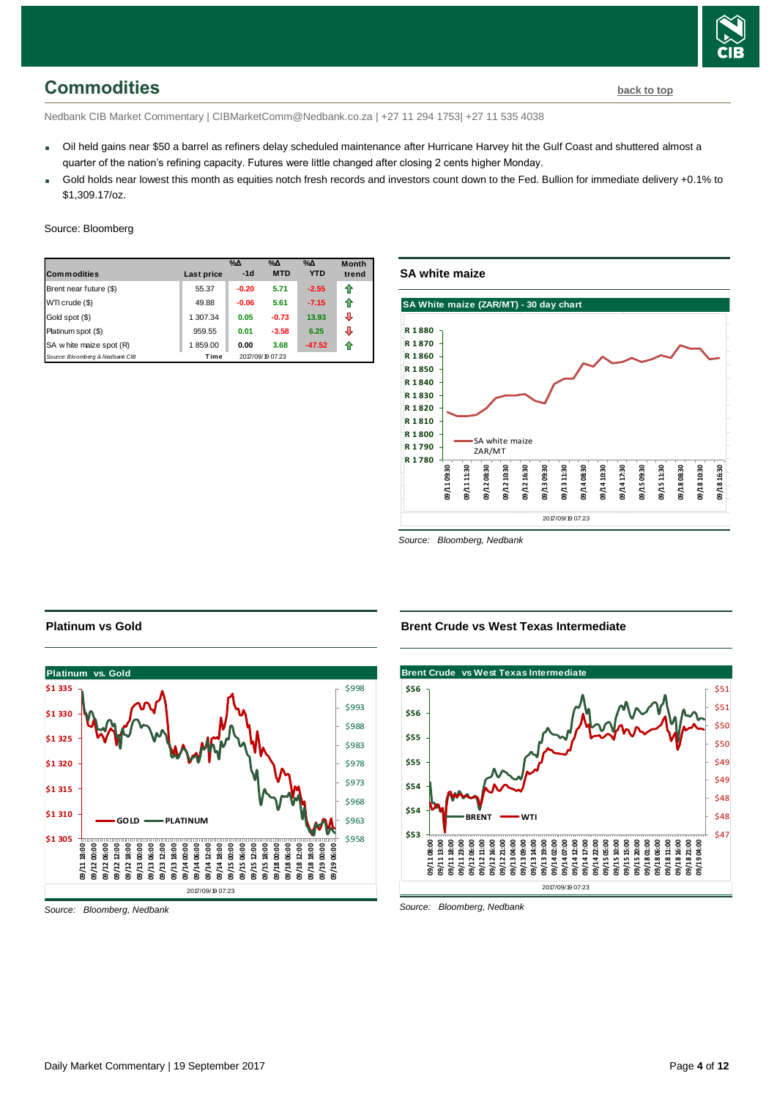

# <span id="page-3-0"></span>**Commodities [back to top](#page-0-0)**

Nedbank CIB Market Commentary | CIBMarketComm@Nedbank.co.za | +27 11 294 1753| +27 11 535 4038

- Oil held gains near \$50 a barrel as refiners delay scheduled maintenance after Hurricane Harvey hit the Gulf Coast and shuttered almost a quarter of the nation's refining capacity. Futures were little changed after closing 2 cents higher Monday.
- Gold holds near lowest this month as equities notch fresh records and investors count down to the Fed. Bullion for immediate delivery +0.1% to \$1,309.17/oz.

### Source: Bloomberg

| <b>Commodities</b>              | Last price | $\%$ $\Delta$<br>$-1d$ | $\%$ $\Delta$<br><b>MTD</b> | $\%$ $\Delta$<br><b>YTD</b> | <b>Month</b><br>trend |
|---------------------------------|------------|------------------------|-----------------------------|-----------------------------|-----------------------|
| Brent near future (\$)          | 55.37      | $-0.20$                | 5.71                        | $-2.55$                     | ⇑                     |
| WTI crude (\$)                  | 49.88      | $-0.06$                | 5.61                        | $-7.15$                     | ⇑                     |
| Gold spot (\$)                  | 1 307.34   | 0.05                   | $-0.73$                     | 13.93                       | ⊕                     |
| Platinum spot (\$)              | 959.55     | 0.01                   | $-3.58$                     | 6.25                        | ⊕                     |
| SA w hite maize spot (R)        | 1859.00    | 0.00                   | 3.68                        | $-47.52$                    | 11                    |
| Source: Bloomberg & Nedbank CIB | Time       |                        | 2017/09/19 07:23            |                             |                       |

### **SA white maize**



*Source: Bloomberg, Nedbank*



### **Platinum vs Gold**

**Brent Crude vs West Texas Intermediate**



*Source: Bloomberg, Nedbank*

*Source: Bloomberg, Nedbank*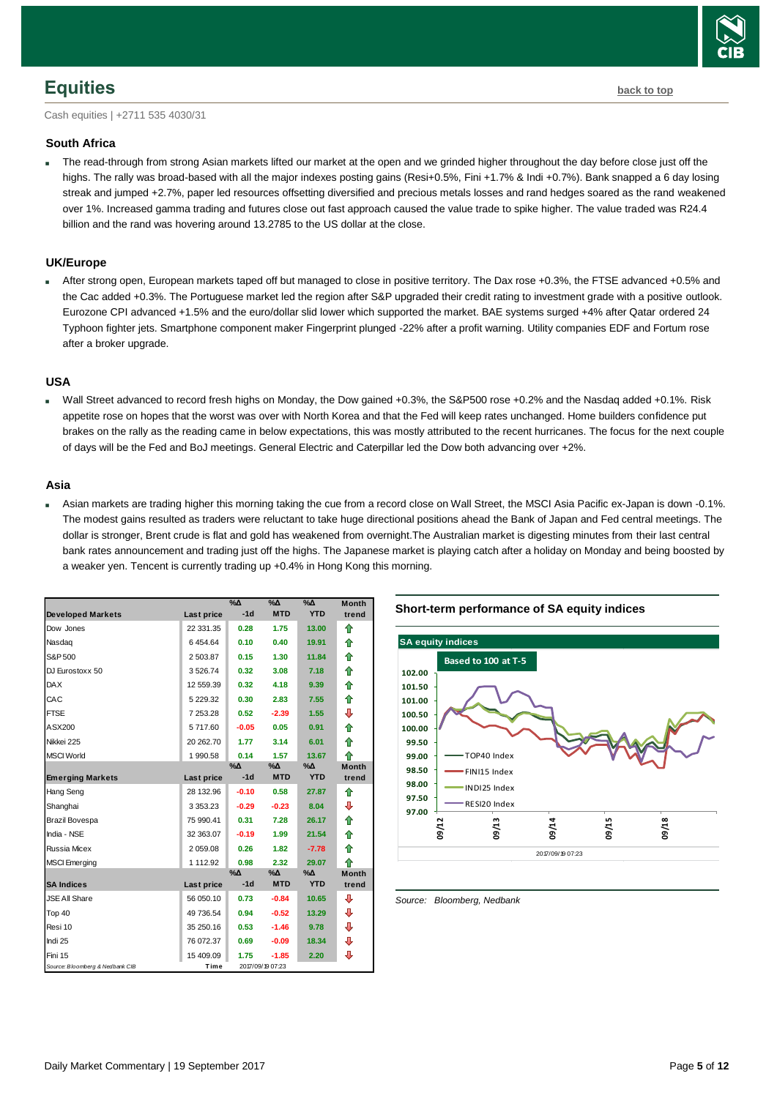# <span id="page-4-0"></span>**Equities [back to top](#page-0-0)**

Cash equities | +2711 535 4030/31

### **South Africa**

 The read-through from strong Asian markets lifted our market at the open and we grinded higher throughout the day before close just off the highs. The rally was broad-based with all the major indexes posting gains (Resi+0.5%, Fini +1.7% & Indi +0.7%). Bank snapped a 6 day losing streak and jumped +2.7%, paper led resources offsetting diversified and precious metals losses and rand hedges soared as the rand weakened over 1%. Increased gamma trading and futures close out fast approach caused the value trade to spike higher. The value traded was R24.4 billion and the rand was hovering around 13.2785 to the US dollar at the close.

### **UK/Europe**

 After strong open, European markets taped off but managed to close in positive territory. The Dax rose +0.3%, the FTSE advanced +0.5% and the Cac added +0.3%. The Portuguese market led the region after S&P upgraded their credit rating to investment grade with a positive outlook. Eurozone CPI advanced +1.5% and the euro/dollar slid lower which supported the market. BAE systems surged +4% after Qatar ordered 24 Typhoon fighter jets. Smartphone component maker Fingerprint plunged -22% after a profit warning. Utility companies EDF and Fortum rose after a broker upgrade.

### **USA**

 Wall Street advanced to record fresh highs on Monday, the Dow gained +0.3%, the S&P500 rose +0.2% and the Nasdaq added +0.1%. Risk appetite rose on hopes that the worst was over with North Korea and that the Fed will keep rates unchanged. Home builders confidence put brakes on the rally as the reading came in below expectations, this was mostly attributed to the recent hurricanes. The focus for the next couple of days will be the Fed and BoJ meetings. General Electric and Caterpillar led the Dow both advancing over +2%.

### **Asia**

 Asian markets are trading higher this morning taking the cue from a record close on Wall Street, the MSCI Asia Pacific ex-Japan is down -0.1%. The modest gains resulted as traders were reluctant to take huge directional positions ahead the Bank of Japan and Fed central meetings. The dollar is stronger, Brent crude is flat and gold has weakened from overnight.The Australian market is digesting minutes from their last central bank rates announcement and trading just off the highs. The Japanese market is playing catch after a holiday on Monday and being boosted by a weaker yen. Tencent is currently trading up +0.4% in Hong Kong this morning.

| <b>Developed Markets</b>        | Last price    | $\%$ $\Delta$<br>$-1d$ | $\%$<br><b>MTD</b> | $\overline{\%}\Lambda$<br><b>YTD</b> | <b>Month</b><br>trend |
|---------------------------------|---------------|------------------------|--------------------|--------------------------------------|-----------------------|
|                                 |               | 0.28                   |                    |                                      |                       |
| Dow Jones                       | 22 331.35     |                        | 1.75               | 13.00                                | ⇑                     |
| Nasdag                          | 6454.64       | 0.10                   | 0.40               | 19.91                                | ⇑                     |
| S&P 500                         | 2 503.87      | 0.15                   | 1.30               | 11.84                                | ⇑                     |
| DJ Eurostoxx 50                 | 3526.74       | 0.32                   | 3.08               | 7.18                                 | ⇑                     |
| <b>DAX</b>                      | 12 559.39     | 0.32                   | 4.18               | 9.39                                 | ⇮                     |
| CAC                             | 5 229.32      | 0.30                   | 2.83               | 7.55                                 | ⇮                     |
| <b>FTSE</b>                     | 7 253.28      | 0.52                   | $-2.39$            | 1.55                                 | ⊕                     |
| ASX200                          | 5717.60       | $-0.05$                | 0.05               | 0.91                                 | ✿                     |
| Nikkei 225                      | 20 262.70     | 1.77                   | 3.14               | 6.01                                 | 合                     |
| <b>MSCI World</b>               | 1 990.58      | 0.14                   | 1.57               | 13.67                                | ♠                     |
|                                 |               | $\%$ $\Delta$          | %∆                 | $\% \Delta$                          | <b>Month</b>          |
| <b>Emerging Markets</b>         | Last price    | $-1d$                  | <b>MTD</b>         | <b>YTD</b>                           | trend                 |
| Hang Seng                       | 28 132.96     | $-0.10$                | 0.58               | 27.87                                | ⇑                     |
| Shanghai                        | 3 3 5 3 . 2 3 | $-0.29$                | $-0.23$            | 8.04                                 | ⊕                     |
| Brazil Bovespa                  | 75 990.41     | 0.31                   | 7.28               | 26.17                                | ⇑                     |
| India - NSE                     | 32 363.07     | $-0.19$                | 1.99               | 21.54                                | 合                     |
| Russia Micex                    | 2 059.08      | 0.26                   | 1.82               | $-7.78$                              | ⇑                     |
| <b>MSCI</b> Emerging            | 1 112.92      | 0.98                   | 2.32               | 29.07                                | ♠                     |
|                                 |               | $% \Delta$             | $% \Delta$         | $% \Delta$                           | <b>Month</b>          |
| <b>SA Indices</b>               | Last price    | $-1d$                  | <b>MTD</b>         | <b>YTD</b>                           | trend                 |
| <b>JSE All Share</b>            | 56 050.10     | 0.73                   | $-0.84$            | 10.65                                | ⊕                     |
| Top 40                          | 49 736.54     | 0.94                   | $-0.52$            | 13.29                                | ⊕                     |
| Resi 10                         | 35 250.16     | 0.53                   | $-1.46$            | 9.78                                 | ⊕                     |
| Indi 25                         | 76 072.37     | 0.69                   | $-0.09$            | 18.34                                | ⊕                     |
| Fini 15                         | 15 409.09     | 1.75                   | $-1.85$            | 2.20                                 | ⊕                     |
| Source: Bloomberg & Nedbank CIB | Time          |                        | 2017/09/19 07:23   |                                      |                       |





<span id="page-4-1"></span>*Source: Bloomberg, Nedbank*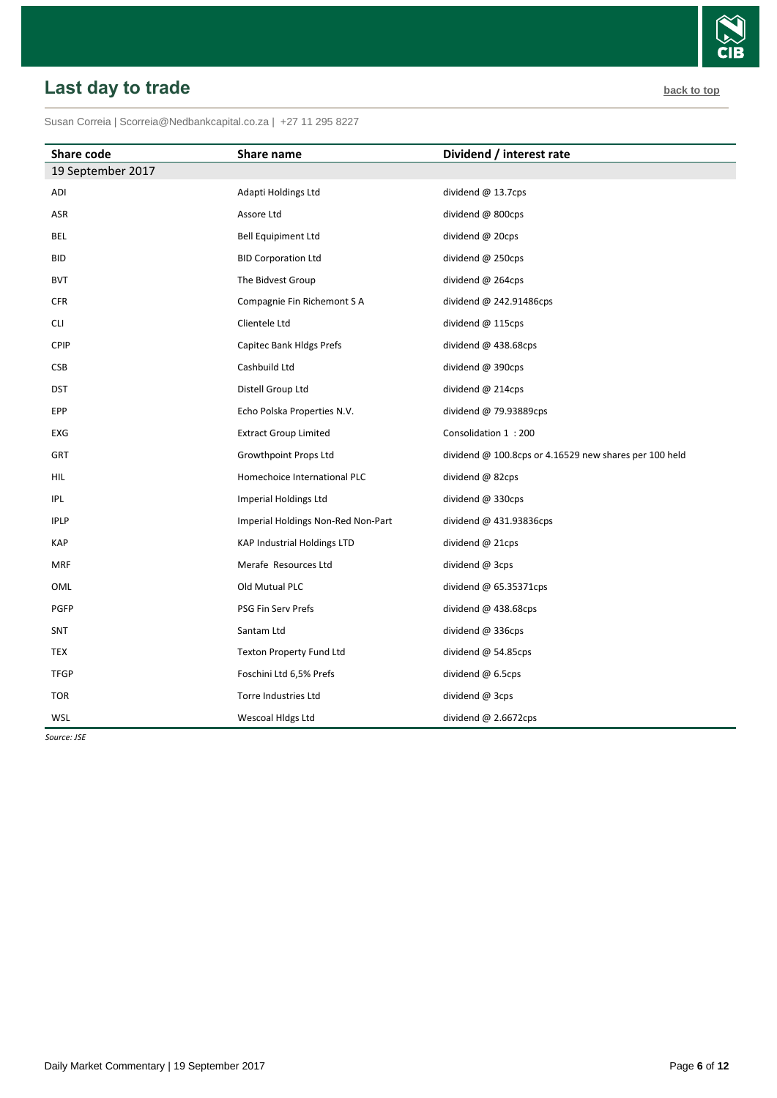### <span id="page-5-0"></span>Susan Correia [| Scorreia@Nedbankcapital.co.za](mailto:Scorreia@Nedbankcapital.co.za) | +27 11 295 8227

| <b>Share code</b> | Share name                         | Dividend / interest rate                                 |
|-------------------|------------------------------------|----------------------------------------------------------|
| 19 September 2017 |                                    |                                                          |
| ADI               | Adapti Holdings Ltd                | dividend @ 13.7cps                                       |
| ASR               | Assore Ltd                         | dividend @ 800cps                                        |
| BEL               | Bell Equipiment Ltd                | dividend @ 20cps                                         |
| <b>BID</b>        | <b>BID Corporation Ltd</b>         | dividend @ 250cps                                        |
| <b>BVT</b>        | The Bidvest Group                  | dividend @ 264cps                                        |
| <b>CFR</b>        | Compagnie Fin Richemont S A        | dividend $@$ 242.91486cps                                |
| CLI               | Clientele Ltd                      | dividend @ 115cps                                        |
| CPIP              | Capitec Bank Hldgs Prefs           | dividend @ 438.68cps                                     |
| CSB               | Cashbuild Ltd                      | dividend @ 390cps                                        |
| <b>DST</b>        | Distell Group Ltd                  | dividend @ 214cps                                        |
| EPP               | Echo Polska Properties N.V.        | dividend @ 79.93889cps                                   |
| EXG               | <b>Extract Group Limited</b>       | Consolidation 1:200                                      |
| GRT               | Growthpoint Props Ltd              | dividend $@$ 100.8cps or 4.16529 new shares per 100 held |
| HIL               | Homechoice International PLC       | dividend @ 82cps                                         |
| IPL               | Imperial Holdings Ltd              | dividend @ 330cps                                        |
| <b>IPLP</b>       | Imperial Holdings Non-Red Non-Part | dividend @ 431.93836cps                                  |
| <b>KAP</b>        | <b>KAP Industrial Holdings LTD</b> | dividend $@$ 21cps                                       |
| <b>MRF</b>        | Merafe Resources Ltd               | dividend @ 3cps                                          |
| OML               | Old Mutual PLC                     | dividend $@$ 65.35371cps                                 |
| PGFP              | PSG Fin Serv Prefs                 | dividend @ 438.68cps                                     |
| <b>SNT</b>        | Santam Ltd                         | dividend @ 336cps                                        |
| TEX               | Texton Property Fund Ltd           | dividend @ 54.85cps                                      |
| <b>TFGP</b>       | Foschini Ltd 6,5% Prefs            | dividend $@$ 6.5cps                                      |
| <b>TOR</b>        | Torre Industries Ltd               | dividend @ 3cps                                          |
| WSL               | Wescoal Hidgs Ltd                  | dividend $@$ 2.6672cps                                   |

*Source: JSE*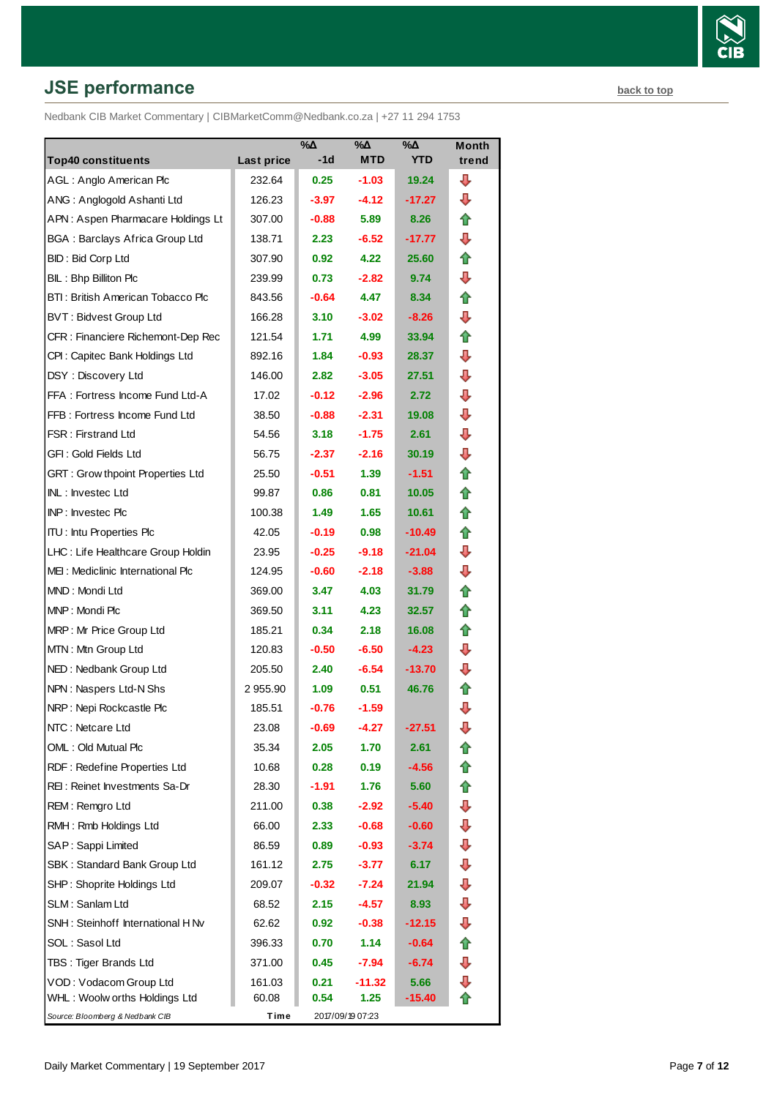# **JSE performance [back to top](#page-0-0) back to top**

Nedbank CIB Market Commentary | CIBMarketComm@Nedbank.co.za | +27 11 294 1753

|                                         |                   | %Δ                | $\%$ $\Delta$    | $% \Delta$ | <b>Month</b> |
|-----------------------------------------|-------------------|-------------------|------------------|------------|--------------|
| <b>Top40 constituents</b>               | <b>Last price</b> | $-1d$             | <b>MTD</b>       | <b>YTD</b> | trend        |
| AGL: Anglo American Plc                 | 232.64            | 0.25              | $-1.03$          | 19.24      | ┺            |
| ANG: Anglogold Ashanti Ltd              | 126.23            | $-3.97$           | $-4.12$          | $-17.27$   | ⊕            |
| APN: Aspen Pharmacare Holdings Lt       | 307.00            | -0.88             | 5.89             | 8.26       | ⇑            |
| <b>BGA: Barclays Africa Group Ltd</b>   | 138.71            | 2.23              | $-6.52$          | $-17.77$   | ⊕            |
| BID: Bid Corp Ltd                       | 307.90            | 0.92 <sub>1</sub> | 4.22             | 25.60      | ⇑            |
| BIL: Bhp Billiton Plc                   | 239.99            | 0.73              | $-2.82$          | 9.74       | ⇩            |
| BTI: British American Tobacco Plc       | 843.56            | $-0.64$           | 4.47             | 8.34       | ⇑            |
| <b>BVT: Bidvest Group Ltd</b>           | 166.28            | 3.10              | $-3.02$          | $-8.26$    | ⊕            |
| CFR : Financiere Richemont-Dep Rec      | 121.54            | 1.71              | 4.99             | 33.94      | ⇑            |
| CPI: Capitec Bank Holdings Ltd          | 892.16            | 1.84              | $-0.93$          | 28.37      | ⊕            |
| DSY: Discovery Ltd                      | 146.00            | 2.82              | $-3.05$          | 27.51      | ⊕            |
| FFA: Fortress Income Fund Ltd-A         | 17.02             | $-0.12$           | $-2.96$          | 2.72       | ⊕            |
| FFB: Fortress Income Fund Ltd           | 38.50             | $-0.88$           | $-2.31$          | 19.08      | ⊕            |
| FSR: Firstrand Ltd                      | 54.56             | 3.18              | $-1.75$          | 2.61       | ⇩            |
| GFI: Gold Fields Ltd                    | 56.75             | $-2.37$           | $-2.16$          | 30.19      | ⊕            |
| <b>GRT: Grow thpoint Properties Ltd</b> | 25.50             | $-0.51$           | 1.39             | $-1.51$    | ⇑            |
| <b>INL: Investec Ltd</b>                | 99.87             | 0.86              | 0.81             | 10.05      | ⇑            |
| <b>INP: Invested Plc</b>                | 100.38            | 1.49              | 1.65             | 10.61      | ⇑            |
| <b>ITU:</b> Intu Properties Plc         | 42.05             | $-0.19$           | 0.98             | $-10.49$   | ⇑            |
| LHC: Life Healthcare Group Holdin       | 23.95             | $-0.25$           | $-9.18$          | $-21.04$   | ⇩            |
| MEI: Mediclinic International Plc       | 124.95            | $-0.60$           | $-2.18$          | $-3.88$    | ⊕            |
| MND: Mondi Ltd                          | 369.00            | 3.47              | 4.03             | 31.79      | ⇑            |
| MNP: Mondi Plc                          | 369.50            | 3.11              | 4.23             | 32.57      | t            |
| MRP: Mr Price Group Ltd                 | 185.21            | 0.34              | 2.18             | 16.08      | ⇑            |
| MTN: Mtn Group Ltd                      | 120.83            | $-0.50$           | $-6.50$          | $-4.23$    | ⊕            |
| NED: Nedbank Group Ltd                  | 205.50            | 2.40              | $-6.54$          | $-13.70$   | ⊕            |
| NPN: Naspers Ltd-N Shs                  | 2 955.90          | 1.09              | 0.51             | 46.76      | t            |
| NRP: Nepi Rockcastle Plc                | 185.51            | $-0.76$           | $-1.59$          |            | ⇩            |
| NTC: Netcare Ltd                        | 23.08             | -0.69             | -4.27            | $-27.51$   | ⇩            |
| OML: Old Mutual Plc                     | 35.34             | 2.05              | 1.70             | 2.61       |              |
| RDF: Redefine Properties Ltd            | 10.68             | 0.28              | 0.19             | $-4.56$    | €            |
| REI: Reinet Investments Sa-Dr           | 28.30             | -1.91             | 1.76             | 5.60       | ⇮            |
| REM: Remgro Ltd                         | 211.00            | 0.38              | $-2.92$          | $-5.40$    | ⊕            |
| RMH: Rmb Holdings Ltd                   | 66.00             | 2.33              | $-0.68$          | $-0.60$    | ⇩            |
| SAP: Sappi Limited                      | 86.59             | 0.89              | $-0.93$          | $-3.74$    | ⊕            |
| SBK: Standard Bank Group Ltd            | 161.12            | 2.75              | $-3.77$          | 6.17       | ⇩            |
| SHP: Shoprite Holdings Ltd              | 209.07            | $-0.32$           | $-7.24$          | 21.94      | ⇩            |
| SLM: Sanlam Ltd                         | 68.52             | 2.15              | $-4.57$          | 8.93       | ⊕            |
| SNH: Steinhoff International H Nv       | 62.62             | 0.92              | $-0.38$          | $-12.15$   | ⇩            |
| SOL: Sasol Ltd                          | 396.33            | 0.70              | 1.14             | $-0.64$    | ⇑            |
| TBS: Tiger Brands Ltd                   | 371.00            | 0.45              | -7.94            | $-6.74$    | ⇩            |
| VOD: Vodacom Group Ltd                  | 161.03            | 0.21              | $-11.32$         | 5.66       | ⇩            |
| WHL: Woolw orths Holdings Ltd           | 60.08             | 0.54              | 1.25             | $-15.40$   | ⇑            |
| Source: Bloomberg & Nedbank CIB         | Time              |                   | 2017/09/19 07:23 |            |              |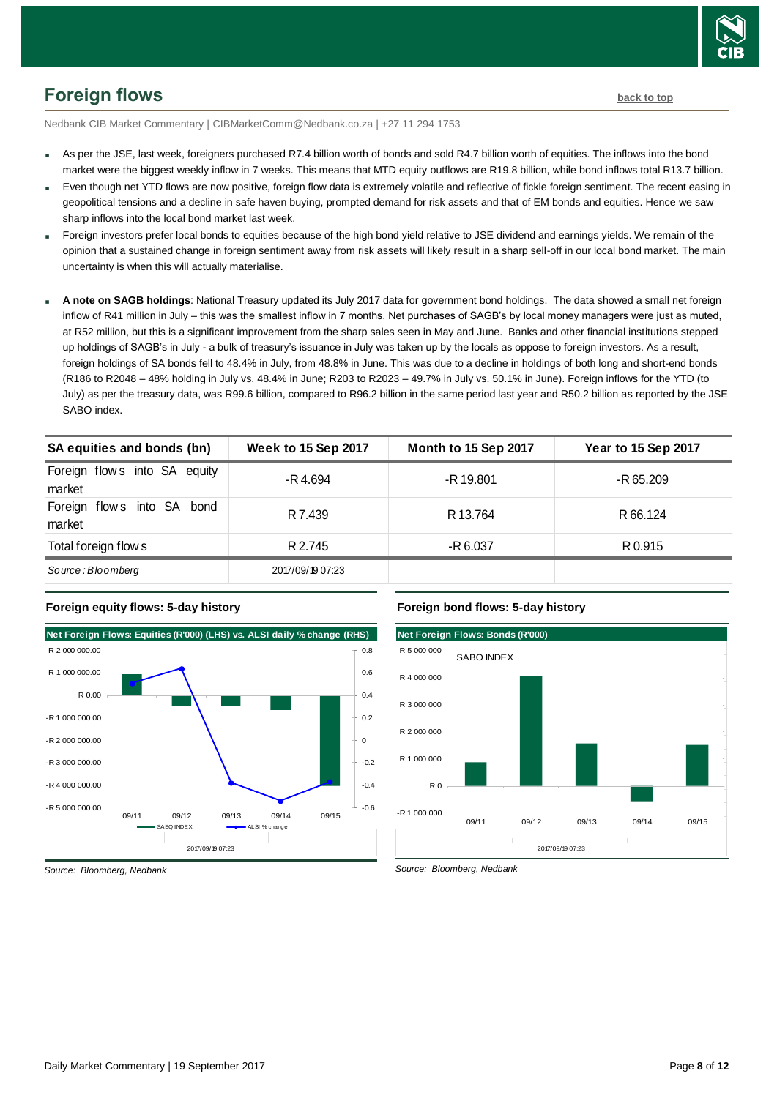

# <span id="page-7-0"></span>**Foreign flows [back to top](#page-0-0)**

Nedbank CIB Market Commentary | CIBMarketComm@Nedbank.co.za | +27 11 294 1753

- As per the JSE, last week, foreigners purchased R7.4 billion worth of bonds and sold R4.7 billion worth of equities. The inflows into the bond market were the biggest weekly inflow in 7 weeks. This means that MTD equity outflows are R19.8 billion, while bond inflows total R13.7 billion.
- Even though net YTD flows are now positive, foreign flow data is extremely volatile and reflective of fickle foreign sentiment. The recent easing in geopolitical tensions and a decline in safe haven buying, prompted demand for risk assets and that of EM bonds and equities. Hence we saw sharp inflows into the local bond market last week.
- Foreign investors prefer local bonds to equities because of the high bond yield relative to JSE dividend and earnings yields. We remain of the opinion that a sustained change in foreign sentiment away from risk assets will likely result in a sharp sell-off in our local bond market. The main uncertainty is when this will actually materialise.
- **A note on SAGB holdings**: National Treasury updated its July 2017 data for government bond holdings. The data showed a small net foreign inflow of R41 million in July – this was the smallest inflow in 7 months. Net purchases of SAGB's by local money managers were just as muted, at R52 million, but this is a significant improvement from the sharp sales seen in May and June. Banks and other financial institutions stepped up holdings of SAGB's in July - a bulk of treasury's issuance in July was taken up by the locals as oppose to foreign investors. As a result, foreign holdings of SA bonds fell to 48.4% in July, from 48.8% in June. This was due to a decline in holdings of both long and short-end bonds (R186 to R2048 – 48% holding in July vs. 48.4% in June; R203 to R2023 – 49.7% in July vs. 50.1% in June). Foreign inflows for the YTD (to July) as per the treasury data, was R99.6 billion, compared to R96.2 billion in the same period last year and R50.2 billion as reported by the JSE SABO index.

| אטאווו שרוש                            |                            |                      |                     |
|----------------------------------------|----------------------------|----------------------|---------------------|
| SA equities and bonds (bn)             | <b>Week to 15 Sep 2017</b> | Month to 15 Sep 2017 | Year to 15 Sep 2017 |
| Foreign flows into SA equity<br>market | -R 4.694                   | -R 19.801            | -R 65.209           |
| Foreign flows into SA bond<br>market   | R 7.439                    | R 13.764             | R 66.124            |
| Total foreign flow s                   | R 2.745                    | -R 6.037             | R 0.915             |
| Source: Bloomberg                      | 2017/09/19 07:23           |                      |                     |





### **Foreign bond flows: 5-day history**



*Source: Bloomberg, Nedbank*

*Source: Bloomberg, Nedbank*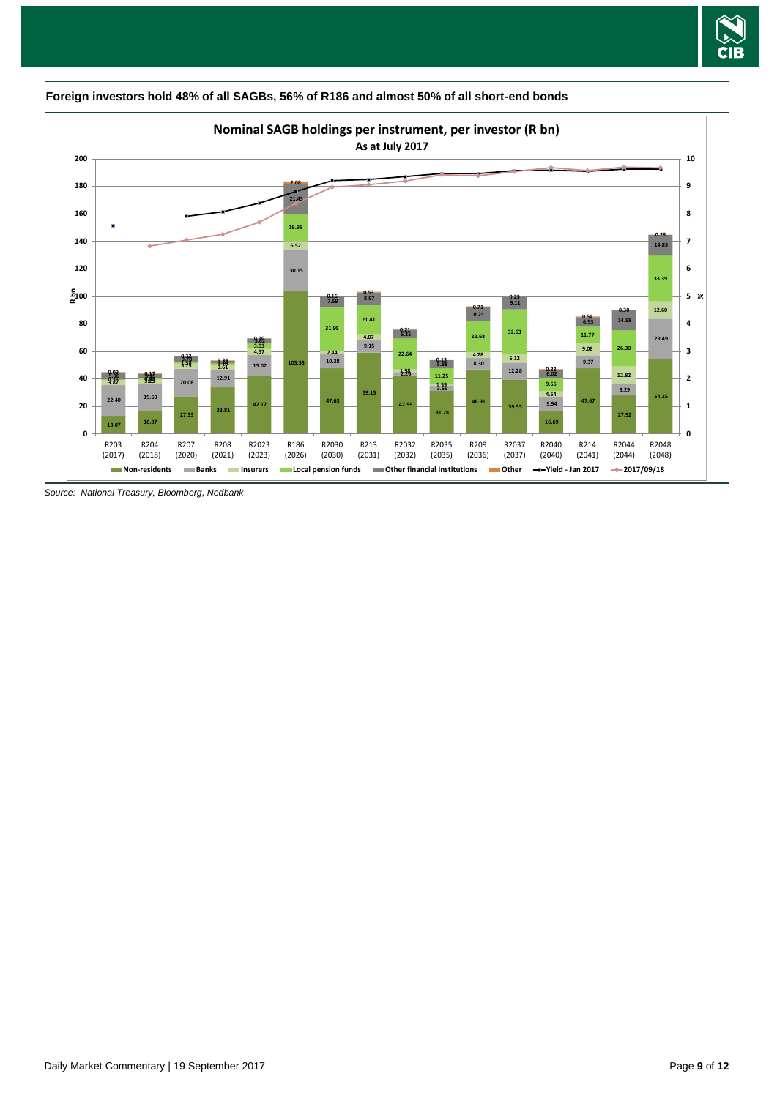



**Foreign investors hold 48% of all SAGBs, 56% of R186 and almost 50% of all short-end bonds** 

*Source: National Treasury, Bloomberg, Nedbank*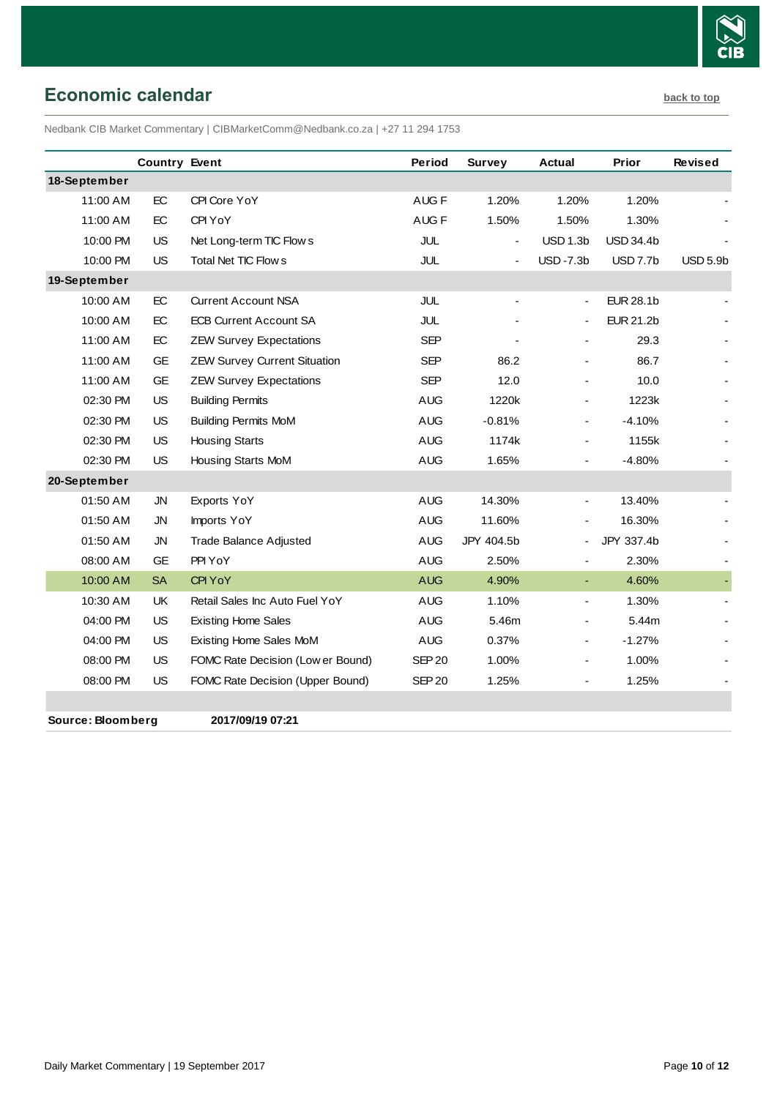

# <span id="page-9-0"></span>**Economic calendar [back to top](#page-0-0)**

Nedbank CIB Market Commentary | CIBMarketComm@Nedbank.co.za | +27 11 294 1753

|              | <b>Country Event</b> |                                     | Period           | Survey                   | <b>Actual</b>            | Prior            | Revised         |
|--------------|----------------------|-------------------------------------|------------------|--------------------------|--------------------------|------------------|-----------------|
| 18-September |                      |                                     |                  |                          |                          |                  |                 |
| 11:00 AM     | EC                   | CPI Core YoY                        | AUG <sub>F</sub> | 1.20%                    | 1.20%                    | 1.20%            |                 |
| 11:00 AM     | EC                   | CPI YoY                             | AUG <sub>F</sub> | 1.50%                    | 1.50%                    | 1.30%            |                 |
| 10:00 PM     | <b>US</b>            | Net Long-term TIC Flow s            | JUL              | $\overline{\phantom{a}}$ | USD 1.3b                 | <b>USD 34.4b</b> |                 |
| 10:00 PM     | <b>US</b>            | <b>Total Net TIC Flows</b>          | <b>JUL</b>       | $\overline{a}$           | $USD -7.3b$              | <b>USD 7.7b</b>  | <b>USD 5.9b</b> |
| 19-September |                      |                                     |                  |                          |                          |                  |                 |
| 10:00 AM     | EC                   | <b>Current Account NSA</b>          | JUL              |                          |                          | <b>EUR 28.1b</b> |                 |
| 10:00 AM     | EC                   | <b>ECB Current Account SA</b>       | <b>JUL</b>       |                          |                          | <b>EUR 21.2b</b> |                 |
| 11:00 AM     | EC                   | <b>ZEW Survey Expectations</b>      | <b>SEP</b>       |                          |                          | 29.3             |                 |
| 11:00 AM     | <b>GE</b>            | <b>ZEW Survey Current Situation</b> | <b>SEP</b>       | 86.2                     |                          | 86.7             |                 |
| 11:00 AM     | <b>GE</b>            | <b>ZEW Survey Expectations</b>      | <b>SEP</b>       | 12.0                     |                          | 10.0             |                 |
| 02:30 PM     | <b>US</b>            | <b>Building Permits</b>             | <b>AUG</b>       | 1220k                    |                          | 1223k            |                 |
| 02:30 PM     | <b>US</b>            | <b>Building Permits MoM</b>         | <b>AUG</b>       | $-0.81%$                 |                          | $-4.10%$         |                 |
| 02:30 PM     | US                   | <b>Housing Starts</b>               | <b>AUG</b>       | 1174k                    |                          | 1155k            |                 |
| 02:30 PM     | <b>US</b>            | Housing Starts MoM                  | <b>AUG</b>       | 1.65%                    |                          | $-4.80%$         |                 |
| 20-September |                      |                                     |                  |                          |                          |                  |                 |
| 01:50 AM     | <b>JN</b>            | Exports YoY                         | <b>AUG</b>       | 14.30%                   |                          | 13.40%           |                 |
| 01:50 AM     | <b>JN</b>            | Imports YoY                         | <b>AUG</b>       | 11.60%                   |                          | 16.30%           |                 |
| 01:50 AM     | <b>JN</b>            | <b>Trade Balance Adjusted</b>       | <b>AUG</b>       | JPY 404.5b               |                          | JPY 337.4b       |                 |
| 08:00 AM     | <b>GE</b>            | PPI YoY                             | <b>AUG</b>       | 2.50%                    |                          | 2.30%            |                 |
| 10:00 AM     | <b>SA</b>            | CPI YoY                             | <b>AUG</b>       | 4.90%                    | $\blacksquare$           | 4.60%            |                 |
| 10:30 AM     | UK                   | Retail Sales Inc Auto Fuel YoY      | <b>AUG</b>       | 1.10%                    | $\overline{\phantom{a}}$ | 1.30%            |                 |
| 04:00 PM     | <b>US</b>            | <b>Existing Home Sales</b>          | <b>AUG</b>       | 5.46m                    |                          | 5.44m            |                 |
| 04:00 PM     | <b>US</b>            | Existing Home Sales MoM             | <b>AUG</b>       | 0.37%                    | $\blacksquare$           | $-1.27%$         |                 |
| 08:00 PM     | <b>US</b>            | FOMC Rate Decision (Low er Bound)   | <b>SEP 20</b>    | 1.00%                    |                          | 1.00%            |                 |
| 08:00 PM     | <b>US</b>            | FOMC Rate Decision (Upper Bound)    | <b>SEP 20</b>    | 1.25%                    |                          | 1.25%            |                 |
|              |                      |                                     |                  |                          |                          |                  |                 |

**Source: Bloomberg 2017/09/19 07:21**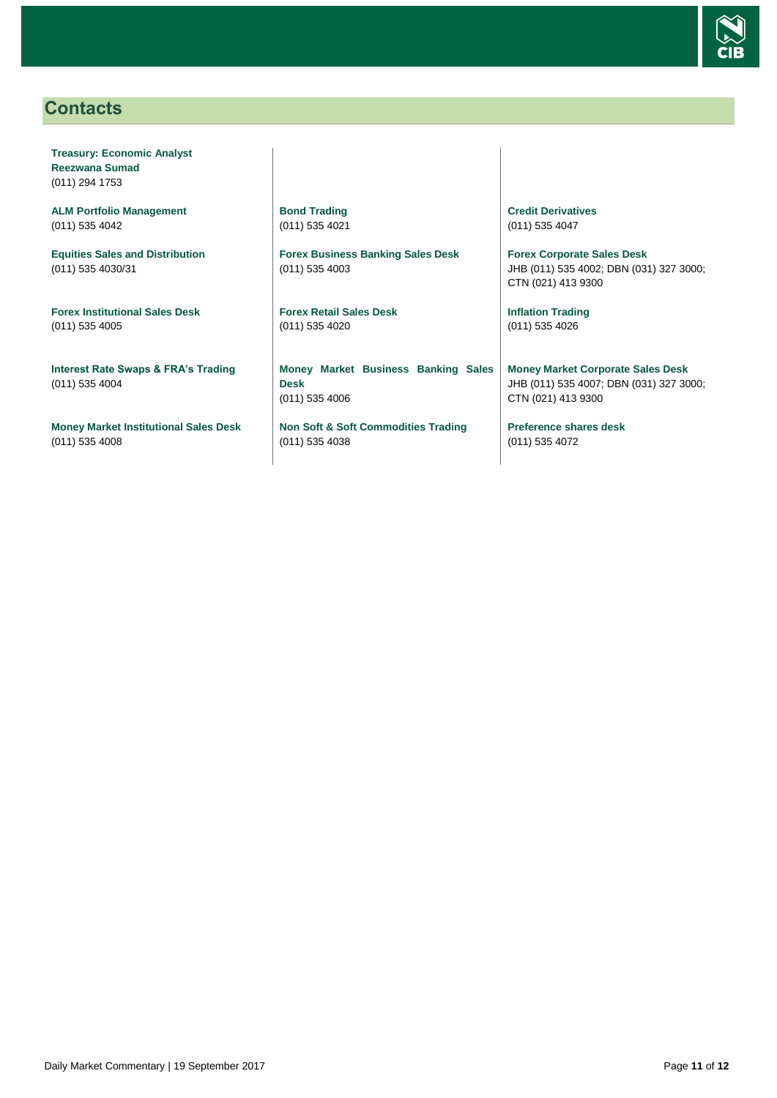

# <span id="page-10-0"></span>**Contacts**

**Treasury: Economic Analyst Reezwana Sumad** (011) 294 1753

**ALM Portfolio Management** (011) 535 4042

**Equities Sales and Distribution** (011) 535 4030/31

**Forex Institutional Sales Desk** (011) 535 4005

**Interest Rate Swaps & FRA's Trading** (011) 535 4004

**Money Market Institutional Sales Desk** (011) 535 4008

**Bond Trading** (011) 535 4021

**Forex Business Banking Sales Desk** (011) 535 4003

**Forex Retail Sales Desk** (011) 535 4020

**Money Market Business Banking Sales Desk** (011) 535 4006

**Non Soft & Soft Commodities Trading** (011) 535 4038

**Credit Derivatives**  (011) 535 4047

**Forex Corporate Sales Desk** JHB (011) 535 4002; DBN (031) 327 3000; CTN (021) 413 9300

**Inflation Trading** (011) 535 4026

**Money Market Corporate Sales Desk** JHB (011) 535 4007; DBN (031) 327 3000; CTN (021) 413 9300

**Preference shares desk** (011) 535 4072